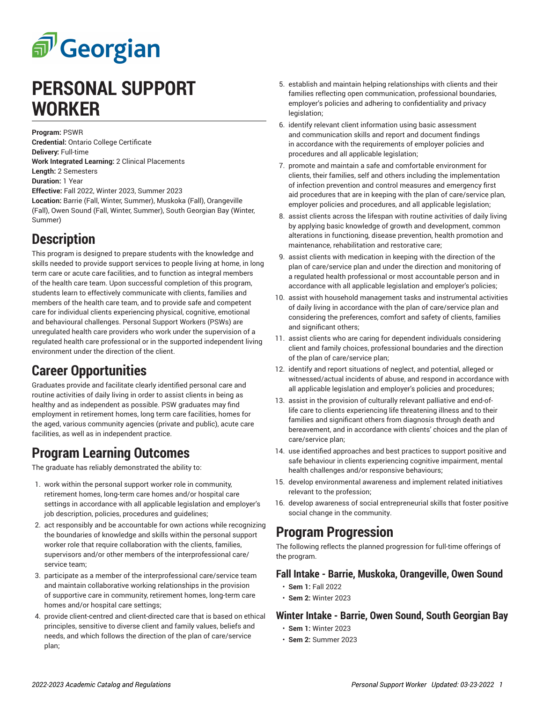# சி Georgian

## **PERSONAL SUPPORT WORKER**

**Program:** PSWR **Credential:** Ontario College Certificate **Delivery:** Full-time **Work Integrated Learning:** 2 Clinical Placements **Length:** 2 Semesters **Duration:** 1 Year **Effective:** Fall 2022, Winter 2023, Summer 2023 **Location:** Barrie (Fall, Winter, Summer), Muskoka (Fall), Orangeville (Fall), Owen Sound (Fall, Winter, Summer), South Georgian Bay (Winter, Summer)

## **Description**

This program is designed to prepare students with the knowledge and skills needed to provide support services to people living at home, in long term care or acute care facilities, and to function as integral members of the health care team. Upon successful completion of this program, students learn to effectively communicate with clients, families and members of the health care team, and to provide safe and competent care for individual clients experiencing physical, cognitive, emotional and behavioural challenges. Personal Support Workers (PSWs) are unregulated health care providers who work under the supervision of a regulated health care professional or in the supported independent living environment under the direction of the client.

## **Career Opportunities**

Graduates provide and facilitate clearly identified personal care and routine activities of daily living in order to assist clients in being as healthy and as independent as possible. PSW graduates may find employment in retirement homes, long term care facilities, homes for the aged, various community agencies (private and public), acute care facilities, as well as in independent practice.

## **Program Learning Outcomes**

The graduate has reliably demonstrated the ability to:

- 1. work within the personal support worker role in community, retirement homes, long-term care homes and/or hospital care settings in accordance with all applicable legislation and employer's job description, policies, procedures and guidelines;
- 2. act responsibly and be accountable for own actions while recognizing the boundaries of knowledge and skills within the personal support worker role that require collaboration with the clients, families, supervisors and/or other members of the interprofessional care/ service team;
- 3. participate as a member of the interprofessional care/service team and maintain collaborative working relationships in the provision of supportive care in community, retirement homes, long-term care homes and/or hospital care settings;
- 4. provide client-centred and client-directed care that is based on ethical principles, sensitive to diverse client and family values, beliefs and needs, and which follows the direction of the plan of care/service plan;
- 5. establish and maintain helping relationships with clients and their families reflecting open communication, professional boundaries, employer's policies and adhering to confidentiality and privacy legislation;
- 6. identify relevant client information using basic assessment and communication skills and report and document findings in accordance with the requirements of employer policies and procedures and all applicable legislation;
- 7. promote and maintain a safe and comfortable environment for clients, their families, self and others including the implementation of infection prevention and control measures and emergency first aid procedures that are in keeping with the plan of care/service plan, employer policies and procedures, and all applicable legislation;
- 8. assist clients across the lifespan with routine activities of daily living by applying basic knowledge of growth and development, common alterations in functioning, disease prevention, health promotion and maintenance, rehabilitation and restorative care;
- 9. assist clients with medication in keeping with the direction of the plan of care/service plan and under the direction and monitoring of a regulated health professional or most accountable person and in accordance with all applicable legislation and employer's policies;
- 10. assist with household management tasks and instrumental activities of daily living in accordance with the plan of care/service plan and considering the preferences, comfort and safety of clients, families and significant others;
- 11. assist clients who are caring for dependent individuals considering client and family choices, professional boundaries and the direction of the plan of care/service plan;
- 12. identify and report situations of neglect, and potential, alleged or witnessed/actual incidents of abuse, and respond in accordance with all applicable legislation and employer's policies and procedures;
- 13. assist in the provision of culturally relevant palliative and end-oflife care to clients experiencing life threatening illness and to their families and significant others from diagnosis through death and bereavement, and in accordance with clients' choices and the plan of care/service plan;
- 14. use identified approaches and best practices to support positive and safe behaviour in clients experiencing cognitive impairment, mental health challenges and/or responsive behaviours;
- 15. develop environmental awareness and implement related initiatives relevant to the profession;
- 16. develop awareness of social entrepreneurial skills that foster positive social change in the community.

#### **Program Progression**

The following reflects the planned progression for full-time offerings of the program.

#### **Fall Intake - Barrie, Muskoka, Orangeville, Owen Sound**

- **Sem 1:** Fall 2022
- **Sem 2:** Winter 2023

#### **Winter Intake - Barrie, Owen Sound, South Georgian Bay**

- **Sem 1:** Winter 2023
- **Sem 2:** Summer 2023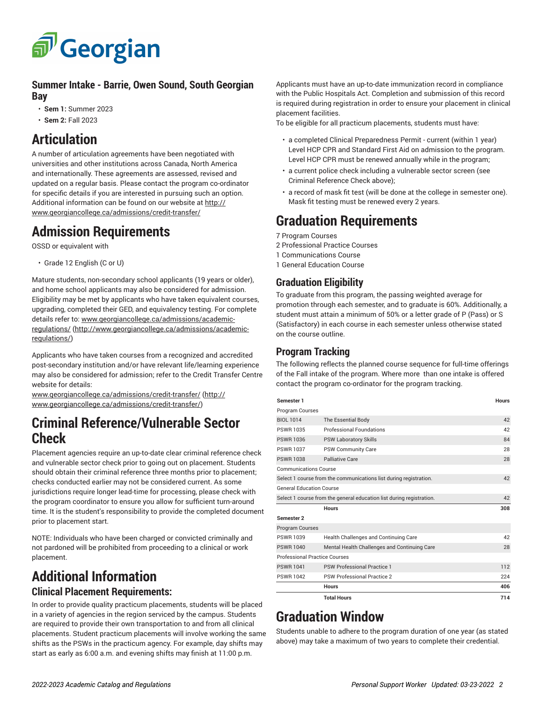

#### **Summer Intake - Barrie, Owen Sound, South Georgian Bay**

- **Sem 1:** Summer 2023
- **Sem 2:** Fall 2023

## **Articulation**

A number of articulation agreements have been negotiated with universities and other institutions across Canada, North America and internationally. These agreements are assessed, revised and updated on a regular basis. Please contact the program co-ordinator for specific details if you are interested in pursuing such an option. Additional information can be found on our website at [http://](http://www.georgiancollege.ca/admissions/credit-transfer/) [www.georgiancollege.ca/admissions/credit-transfer/](http://www.georgiancollege.ca/admissions/credit-transfer/)

#### **Admission Requirements**

OSSD or equivalent with

• Grade 12 English (C or U)

Mature students, non-secondary school applicants (19 years or older), and home school applicants may also be considered for admission. Eligibility may be met by applicants who have taken equivalent courses, upgrading, completed their GED, and equivalency testing. For complete details refer to: [www.georgiancollege.ca/admissions/academic](http://www.georgiancollege.ca/admissions/academic-regulations/)[regulations/ \(http://www.georgiancollege.ca/admissions/academic](http://www.georgiancollege.ca/admissions/academic-regulations/)[regulations/\)](http://www.georgiancollege.ca/admissions/academic-regulations/)

Applicants who have taken courses from a recognized and accredited post-secondary institution and/or have relevant life/learning experience may also be considered for admission; refer to the Credit Transfer Centre website for details:

[www.georgiancollege.ca/admissions/credit-transfer/](http://www.georgiancollege.ca/admissions/credit-transfer/) ([http://](http://www.georgiancollege.ca/admissions/credit-transfer/) [www.georgiancollege.ca/admissions/credit-transfer/](http://www.georgiancollege.ca/admissions/credit-transfer/))

#### **Criminal Reference/Vulnerable Sector Check**

Placement agencies require an up-to-date clear criminal reference check and vulnerable sector check prior to going out on placement. Students should obtain their criminal reference three months prior to placement; checks conducted earlier may not be considered current. As some jurisdictions require longer lead-time for processing, please check with the program coordinator to ensure you allow for sufficient turn-around time. It is the student's responsibility to provide the completed document prior to placement start.

NOTE: Individuals who have been charged or convicted criminally and not pardoned will be prohibited from proceeding to a clinical or work placement.

## **Additional Information**

#### **Clinical Placement Requirements:**

In order to provide quality practicum placements, students will be placed in a variety of agencies in the region serviced by the campus. Students are required to provide their own transportation to and from all clinical placements. Student practicum placements will involve working the same shifts as the PSWs in the practicum agency. For example, day shifts may start as early as 6:00 a.m. and evening shifts may finish at 11:00 p.m.

Applicants must have an up-to-date immunization record in compliance with the Public Hospitals Act. Completion and submission of this record is required during registration in order to ensure your placement in clinical placement facilities.

To be eligible for all practicum placements, students must have:

- a completed Clinical Preparedness Permit current (within 1 year) Level HCP CPR and Standard First Aid on admission to the program. Level HCP CPR must be renewed annually while in the program;
- a current police check including a vulnerable sector screen (see Criminal Reference Check above);
- a record of mask fit test (will be done at the college in semester one). Mask fit testing must be renewed every 2 years.

## **Graduation Requirements**

7 Program Courses

- 2 Professional Practice Courses
- 1 Communications Course
- 1 General Education Course

#### **Graduation Eligibility**

To graduate from this program, the passing weighted average for promotion through each semester, and to graduate is 60%. Additionally, a student must attain a minimum of 50% or a letter grade of P (Pass) or S (Satisfactory) in each course in each semester unless otherwise stated on the course outline.

#### **Program Tracking**

The following reflects the planned course sequence for full-time offerings of the Fall intake of the program. Where more than one intake is offered contact the program co-ordinator for the program tracking.

| Semester 1                                                           |                                              | <b>Hours</b> |
|----------------------------------------------------------------------|----------------------------------------------|--------------|
| Program Courses                                                      |                                              |              |
| <b>BIOL 1014</b>                                                     | The Essential Body                           | 42           |
| <b>PSWR1035</b>                                                      | <b>Professional Foundations</b>              | 42           |
| <b>PSWR1036</b>                                                      | <b>PSW Laboratory Skills</b>                 | 84           |
| <b>PSWR1037</b>                                                      | <b>PSW Community Care</b>                    | 28           |
| <b>PSWR1038</b>                                                      | Palliative Care                              | 28           |
| <b>Communications Course</b>                                         |                                              |              |
| Select 1 course from the communications list during registration.    |                                              | 42           |
| <b>General Education Course</b>                                      |                                              |              |
| Select 1 course from the general education list during registration. |                                              | 42           |
|                                                                      | <b>Hours</b>                                 | 308          |
| Semester <sub>2</sub>                                                |                                              |              |
| <b>Program Courses</b>                                               |                                              |              |
| <b>PSWR 1039</b>                                                     | Health Challenges and Continuing Care        | 42           |
| <b>PSWR1040</b>                                                      | Mental Health Challenges and Continuing Care | 28           |
| <b>Professional Practice Courses</b>                                 |                                              |              |
| <b>PSWR1041</b>                                                      | <b>PSW Professional Practice 1</b>           | 112          |
| <b>PSWR1042</b>                                                      | PSW Professional Practice 2                  | 224          |
|                                                                      | <b>Hours</b>                                 | 406          |
|                                                                      | <b>Total Hours</b>                           | 714          |

## **Graduation Window**

Students unable to adhere to the program duration of one year (as stated above) may take a maximum of two years to complete their credential.